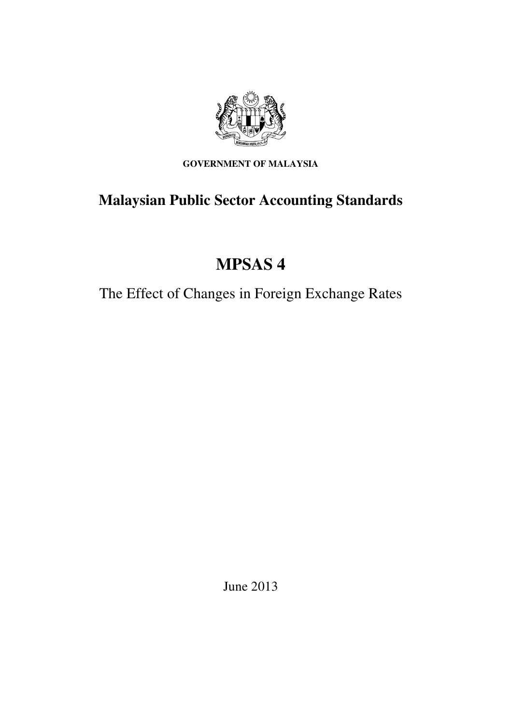

**GOVERNMENT OF MALAYSIA** 

# **Malaysian Public Sector Accounting Standards**

# **MPSAS 4**

The Effect of Changes in Foreign Exchange Rates

June 2013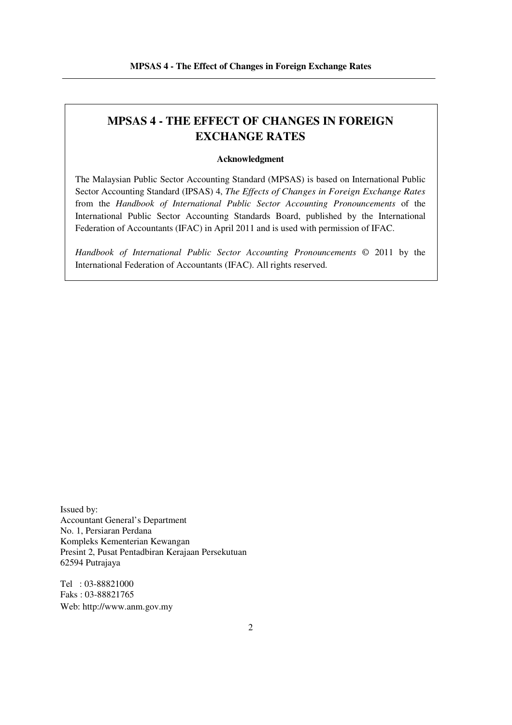## **MPSAS 4 - THE EFFECT OF CHANGES IN FOREIGN EXCHANGE RATES**

#### **Acknowledgment**

The Malaysian Public Sector Accounting Standard (MPSAS) is based on International Public Sector Accounting Standard (IPSAS) 4, *The Effects of Changes in Foreign Exchange Rates* from the *Handbook of International Public Sector Accounting Pronouncements* of the International Public Sector Accounting Standards Board, published by the International Federation of Accountants (IFAC) in April 2011 and is used with permission of IFAC.

*Handbook of International Public Sector Accounting Pronouncements* © 2011 by the International Federation of Accountants (IFAC). All rights reserved.

Issued by: Accountant General's Department No. 1, Persiaran Perdana Kompleks Kementerian Kewangan Presint 2, Pusat Pentadbiran Kerajaan Persekutuan 62594 Putrajaya

Tel : 03-88821000 Faks : 03-88821765 Web: http://www.anm.gov.my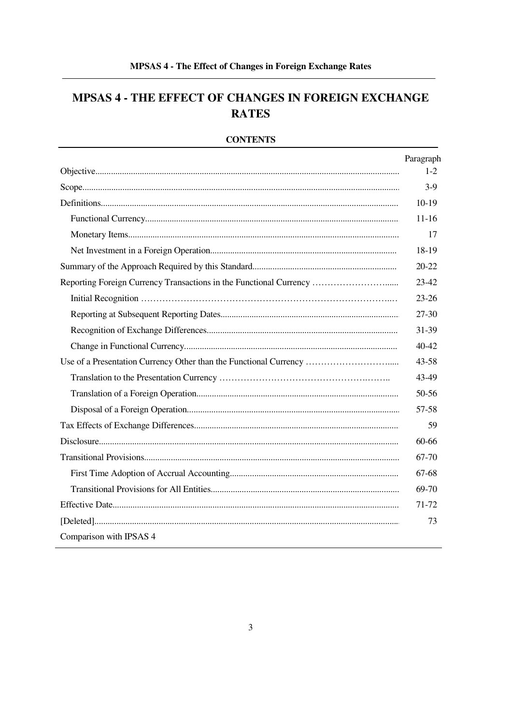## MPSAS 4 - THE EFFECT OF CHANGES IN FOREIGN EXCHANGE **RATES**

|                                                                    | Paragraph |
|--------------------------------------------------------------------|-----------|
|                                                                    | $1-2$     |
|                                                                    | $3-9$     |
|                                                                    | $10-19$   |
|                                                                    | $11 - 16$ |
|                                                                    | 17        |
|                                                                    | 18-19     |
|                                                                    | $20 - 22$ |
| Reporting Foreign Currency Transactions in the Functional Currency | $23 - 42$ |
|                                                                    | $23 - 26$ |
|                                                                    | 27-30     |
|                                                                    | 31-39     |
|                                                                    | 40-42     |
| Use of a Presentation Currency Other than the Functional Currency  | $43 - 58$ |
|                                                                    | 43-49     |
|                                                                    | 50-56     |
|                                                                    | 57-58     |
|                                                                    | 59        |
|                                                                    | 60-66     |
|                                                                    | 67-70     |
|                                                                    | 67-68     |
|                                                                    | 69-70     |
|                                                                    | 71-72     |
|                                                                    | 73        |
| Comparison with IPSAS 4                                            |           |

## **CONTENTS**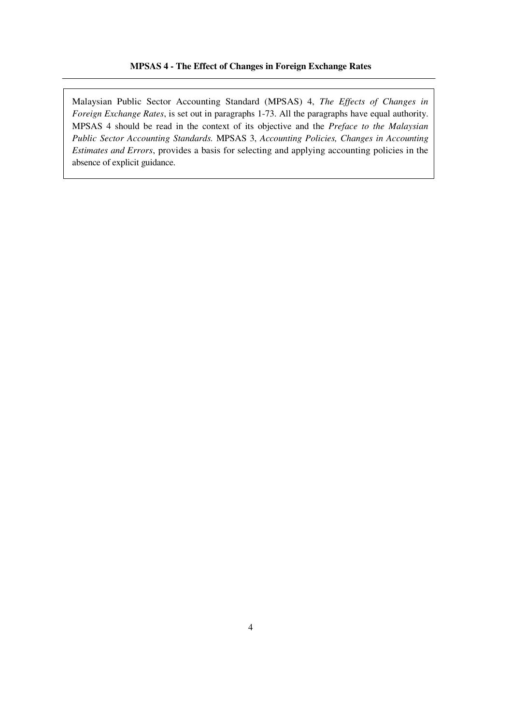Malaysian Public Sector Accounting Standard (MPSAS) 4, *The Effects of Changes in Foreign Exchange Rates*, is set out in paragraphs 1-73. All the paragraphs have equal authority. MPSAS 4 should be read in the context of its objective and the *Preface to the Malaysian Public Sector Accounting Standards.* MPSAS 3, *Accounting Policies, Changes in Accounting Estimates and Errors*, provides a basis for selecting and applying accounting policies in the absence of explicit guidance.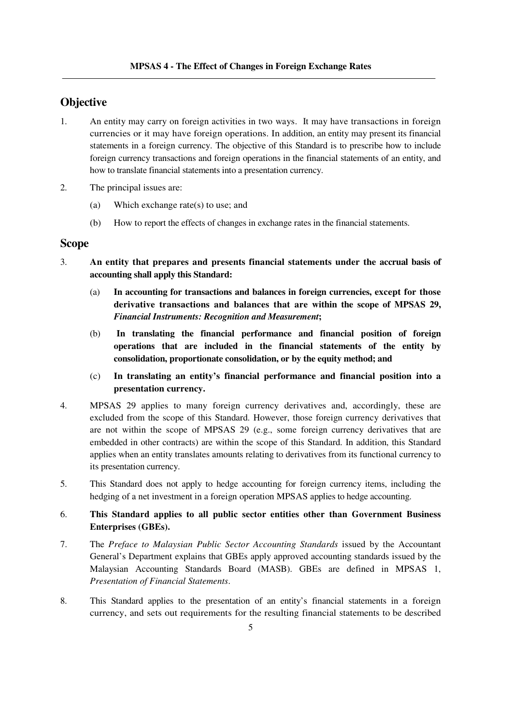## **Objective**

- 1. An entity may carry on foreign activities in two ways. It may have transactions in foreign currencies or it may have foreign operations. In addition, an entity may present its financial statements in a foreign currency. The objective of this Standard is to prescribe how to include foreign currency transactions and foreign operations in the financial statements of an entity, and how to translate financial statements into a presentation currency.
- 2. The principal issues are:
	- (a) Which exchange rate(s) to use; and
	- (b) How to report the effects of changes in exchange rates in the financial statements.

## **Scope**

- 3. **An entity that prepares and presents financial statements under the accrual basis of accounting shall apply this Standard:** 
	- (a) **In accounting for transactions and balances in foreign currencies, except for those derivative transactions and balances that are within the scope of MPSAS 29,**  *Financial Instruments: Recognition and Measurement***;**
	- (b) **In translating the financial performance and financial position of foreign operations that are included in the financial statements of the entity by consolidation, proportionate consolidation, or by the equity method; and**
	- (c) **In translating an entity's financial performance and financial position into a presentation currency.**
- 4. MPSAS 29 applies to many foreign currency derivatives and, accordingly, these are excluded from the scope of this Standard. However, those foreign currency derivatives that are not within the scope of MPSAS 29 (e.g., some foreign currency derivatives that are embedded in other contracts) are within the scope of this Standard. In addition, this Standard applies when an entity translates amounts relating to derivatives from its functional currency to its presentation currency.
- 5. This Standard does not apply to hedge accounting for foreign currency items, including the hedging of a net investment in a foreign operation MPSAS applies to hedge accounting.

## 6. **This Standard applies to all public sector entities other than Government Business Enterprises (GBEs).**

- 7. The *Preface to Malaysian Public Sector Accounting Standards* issued by the Accountant General's Department explains that GBEs apply approved accounting standards issued by the Malaysian Accounting Standards Board (MASB). GBEs are defined in MPSAS 1, *Presentation of Financial Statements*.
- 8. This Standard applies to the presentation of an entity's financial statements in a foreign currency, and sets out requirements for the resulting financial statements to be described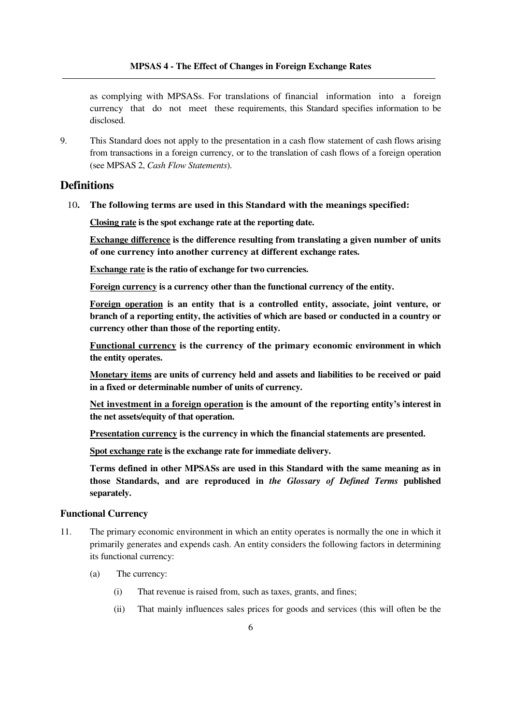as complying with MPSASs. For translations of financial information into a foreign currency that do not meet these requirements, this Standard specifies information to be disclosed.

9. This Standard does not apply to the presentation in a cash flow statement of cash flows arising from transactions in a foreign currency, or to the translation of cash flows of a foreign operation (see MPSAS 2, *Cash Flow Statements*).

## **Definitions**

10**. The following terms are used in this Standard with the meanings specified:** 

 **Closing rate is the spot exchange rate at the reporting date.** 

 **Exchange difference is the difference resulting from translating a given number of units of one currency into another currency at different exchange rates.** 

 **Exchange rate is the ratio of exchange for two currencies.** 

 **Foreign currency is a currency other than the functional currency of the entity.** 

 **Foreign operation is an entity that is a controlled entity, associate, joint venture, or branch of a reporting entity, the activities of which are based or conducted in a country or currency other than those of the reporting entity.** 

 **Functional currency is the currency of the primary economic environment in which the entity operates.** 

 **Monetary items are units of currency held and assets and liabilities to be received or paid in a fixed or determinable number of units of currency.** 

 **Net investment in a foreign operation is the amount of the reporting entity's interest in the net assets/equity of that operation.** 

 **Presentation currency is the currency in which the financial statements are presented.** 

 **Spot exchange rate is the exchange rate for immediate delivery.** 

 **Terms defined in other MPSASs are used in this Standard with the same meaning as in those Standards, and are reproduced in** *the Glossary of Defined Terms* **published separately.** 

#### **Functional Currency**

- 11. The primary economic environment in which an entity operates is normally the one in which it primarily generates and expends cash. An entity considers the following factors in determining its functional currency:
	- (a) The currency:
		- (i) That revenue is raised from, such as taxes, grants, and fines;
		- (ii) That mainly influences sales prices for goods and services (this will often be the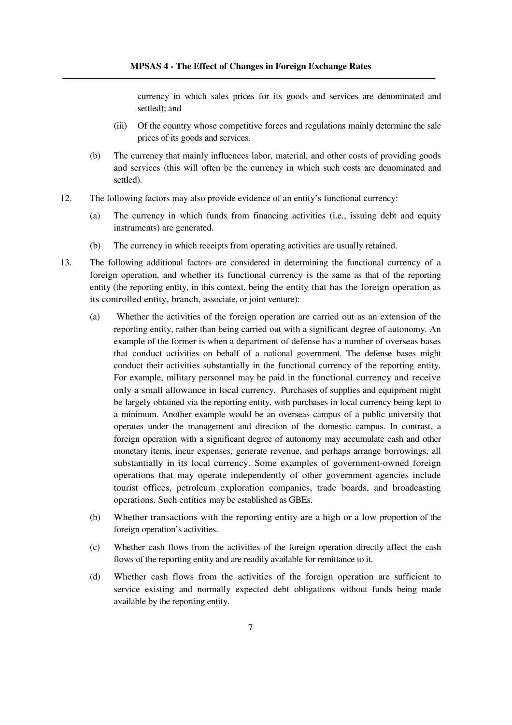currency in which sales prices for its goods and services are denominated and settled); and

- (iii) Of the country whose competitive forces and regulations mainly determine the sale prices of its goods and services.
- (b) The currency that mainly influences labor, material, and other costs of providing goods and services (this will often be the currency in which such costs are denominated and settled).
- 12. The following factors may also provide evidence of an entity's functional currency:
	- (a) The currency in which funds from financing activities (i.e., issuing debt and equity instruments) are generated.
	- (b) The currency in which receipts from operating activities are usually retained.
- 13. The following additional factors are considered in determining the functional currency of a foreign operation, and whether its functional currency is the same as that of the reporting entity (the reporting entity, in this context, being the entity that has the foreign operation as its controlled entity, branch, associate, or joint venture):
	- (a) Whether the activities of the foreign operation are carried out as an extension of the reporting entity, rather than being carried out with a significant degree of autonomy. An example of the former is when a department of defense has a number of overseas bases that conduct activities on behalf of a national government. The defense bases might conduct their activities substantially in the functional currency of the reporting entity. For example, military personnel may be paid in the functional currency and receive only a small allowance in local currency. Purchases of supplies and equipment might be largely obtained via the reporting entity, with purchases in local currency being kept to a minimum. Another example would be an overseas campus of a public university that operates under the management and direction of the domestic campus. In contrast, a foreign operation with a significant degree of autonomy may accumulate cash and other monetary items, incur expenses, generate revenue, and perhaps arrange borrowings, all substantially in its local currency. Some examples of government-owned foreign operations that may operate independently of other government agencies include tourist offices, petroleum exploration companies, trade boards, and broadcasting operations. Such entities may be established as GBEs.
	- (b) Whether transactions with the reporting entity are a high or a low proportion of the foreign operation's activities.
	- (c) Whether cash flows from the activities of the foreign operation directly affect the cash flows of the reporting entity and are readily available for remittance to it.
	- (d) Whether cash flows from the activities of the foreign operation are sufficient to service existing and normally expected debt obligations without funds being made available by the reporting entity.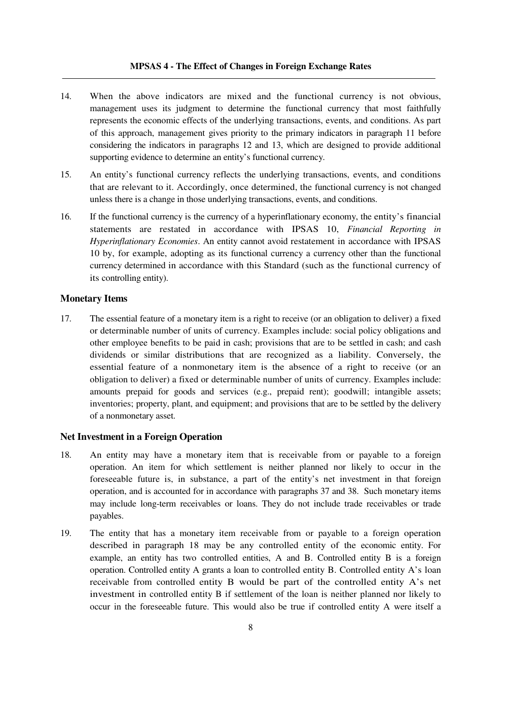#### **MPSAS 4 - The Effect of Changes in Foreign Exchange Rates**

- 14. When the above indicators are mixed and the functional currency is not obvious, management uses its judgment to determine the functional currency that most faithfully represents the economic effects of the underlying transactions, events, and conditions. As part of this approach, management gives priority to the primary indicators in paragraph 11 before considering the indicators in paragraphs 12 and 13, which are designed to provide additional supporting evidence to determine an entity's functional currency.
- 15. An entity's functional currency reflects the underlying transactions, events, and conditions that are relevant to it. Accordingly, once determined, the functional currency is not changed unless there is a change in those underlying transactions, events, and conditions.
- 16. If the functional currency is the currency of a hyperinflationary economy, the entity's financial statements are restated in accordance with IPSAS 10, *Financial Reporting in Hyperinflationary Economies*. An entity cannot avoid restatement in accordance with IPSAS 10 by, for example, adopting as its functional currency a currency other than the functional currency determined in accordance with this Standard (such as the functional currency of its controlling entity).

#### **Monetary Items**

17. The essential feature of a monetary item is a right to receive (or an obligation to deliver) a fixed or determinable number of units of currency. Examples include: social policy obligations and other employee benefits to be paid in cash; provisions that are to be settled in cash; and cash dividends or similar distributions that are recognized as a liability. Conversely, the essential feature of a nonmonetary item is the absence of a right to receive (or an obligation to deliver) a fixed or determinable number of units of currency. Examples include: amounts prepaid for goods and services (e.g., prepaid rent); goodwill; intangible assets; inventories; property, plant, and equipment; and provisions that are to be settled by the delivery of a nonmonetary asset.

#### **Net Investment in a Foreign Operation**

- 18. An entity may have a monetary item that is receivable from or payable to a foreign operation. An item for which settlement is neither planned nor likely to occur in the foreseeable future is, in substance, a part of the entity's net investment in that foreign operation, and is accounted for in accordance with paragraphs 37 and 38. Such monetary items may include long-term receivables or loans. They do not include trade receivables or trade payables.
- 19. The entity that has a monetary item receivable from or payable to a foreign operation described in paragraph 18 may be any controlled entity of the economic entity. For example, an entity has two controlled entities, A and B. Controlled entity B is a foreign operation. Controlled entity A grants a loan to controlled entity B. Controlled entity A's loan receivable from controlled entity B would be part of the controlled entity A's net investment in controlled entity B if settlement of the loan is neither planned nor likely to occur in the foreseeable future. This would also be true if controlled entity A were itself a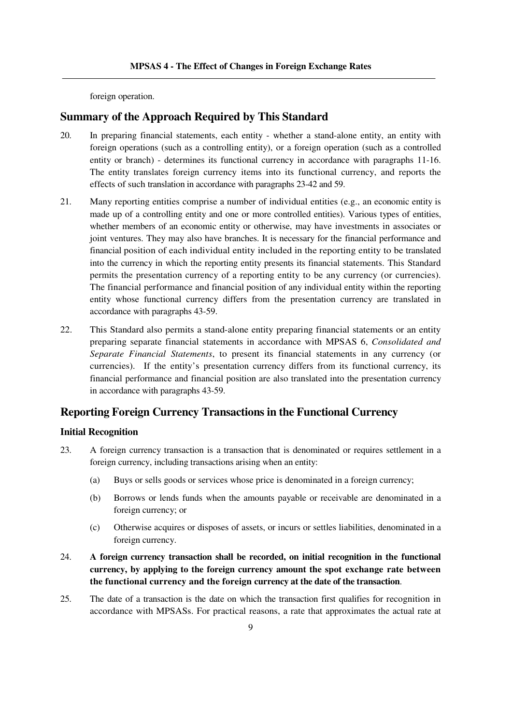foreign operation.

## **Summary of the Approach Required by This Standard**

- 20. In preparing financial statements, each entity whether a stand-alone entity, an entity with foreign operations (such as a controlling entity), or a foreign operation (such as a controlled entity or branch) - determines its functional currency in accordance with paragraphs 11-16. The entity translates foreign currency items into its functional currency, and reports the effects of such translation in accordance with paragraphs 23-42 and 59.
- 21. Many reporting entities comprise a number of individual entities (e.g., an economic entity is made up of a controlling entity and one or more controlled entities). Various types of entities, whether members of an economic entity or otherwise, may have investments in associates or joint ventures. They may also have branches. It is necessary for the financial performance and financial position of each individual entity included in the reporting entity to be translated into the currency in which the reporting entity presents its financial statements. This Standard permits the presentation currency of a reporting entity to be any currency (or currencies). The financial performance and financial position of any individual entity within the reporting entity whose functional currency differs from the presentation currency are translated in accordance with paragraphs 43-59.
- 22. This Standard also permits a stand-alone entity preparing financial statements or an entity preparing separate financial statements in accordance with MPSAS 6, *Consolidated and Separate Financial Statements*, to present its financial statements in any currency (or currencies). If the entity's presentation currency differs from its functional currency, its financial performance and financial position are also translated into the presentation currency in accordance with paragraphs 43-59.

## **Reporting Foreign Currency Transactions in the Functional Currency**

#### **Initial Recognition**

- 23. A foreign currency transaction is a transaction that is denominated or requires settlement in a foreign currency, including transactions arising when an entity:
	- (a) Buys or sells goods or services whose price is denominated in a foreign currency;
	- (b) Borrows or lends funds when the amounts payable or receivable are denominated in a foreign currency; or
	- (c) Otherwise acquires or disposes of assets, or incurs or settles liabilities, denominated in a foreign currency.
- 24. **A foreign currency transaction shall be recorded, on initial recognition in the functional currency, by applying to the foreign currency amount the spot exchange rate between the functional currency and the foreign currency at the date of the transaction**.
- 25. The date of a transaction is the date on which the transaction first qualifies for recognition in accordance with MPSASs. For practical reasons, a rate that approximates the actual rate at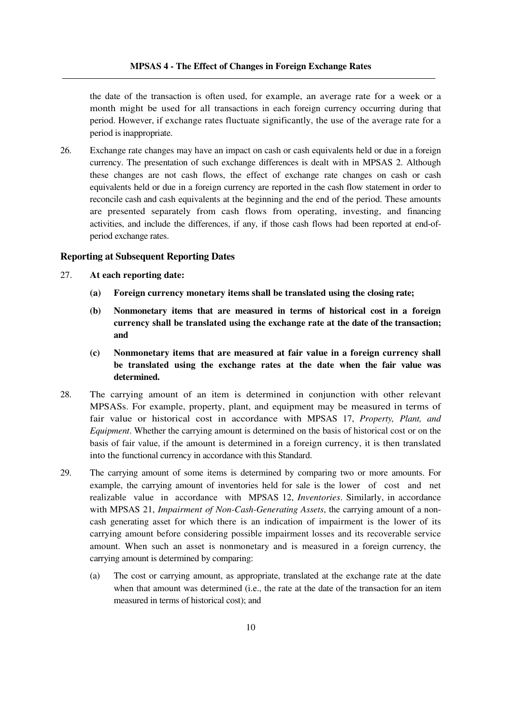the date of the transaction is often used, for example, an average rate for a week or a month might be used for all transactions in each foreign currency occurring during that period. However, if exchange rates fluctuate significantly, the use of the average rate for a period is inappropriate.

26. Exchange rate changes may have an impact on cash or cash equivalents held or due in a foreign currency. The presentation of such exchange differences is dealt with in MPSAS 2. Although these changes are not cash flows, the effect of exchange rate changes on cash or cash equivalents held or due in a foreign currency are reported in the cash flow statement in order to reconcile cash and cash equivalents at the beginning and the end of the period. These amounts are presented separately from cash flows from operating, investing, and financing activities, and include the differences, if any, if those cash flows had been reported at end-ofperiod exchange rates.

#### **Reporting at Subsequent Reporting Dates**

- 27. **At each reporting date:** 
	- **(a) Foreign currency monetary items shall be translated using the closing rate;**
	- **(b) Nonmonetary items that are measured in terms of historical cost in a foreign currency shall be translated using the exchange rate at the date of the transaction; and**
	- **(c) Nonmonetary items that are measured at fair value in a foreign currency shall be translated using the exchange rates at the date when the fair value was determined.**
- 28. The carrying amount of an item is determined in conjunction with other relevant MPSASs. For example, property, plant, and equipment may be measured in terms of fair value or historical cost in accordance with MPSAS 17, *Property, Plant, and Equipment*. Whether the carrying amount is determined on the basis of historical cost or on the basis of fair value, if the amount is determined in a foreign currency, it is then translated into the functional currency in accordance with this Standard.
- 29. The carrying amount of some items is determined by comparing two or more amounts. For example, the carrying amount of inventories held for sale is the lower of cost and net realizable value in accordance with MPSAS 12, *Inventories*. Similarly, in accordance with MPSAS 21, *Impairment of Non-Cash-Generating Assets*, the carrying amount of a noncash generating asset for which there is an indication of impairment is the lower of its carrying amount before considering possible impairment losses and its recoverable service amount. When such an asset is nonmonetary and is measured in a foreign currency, the carrying amount is determined by comparing:
	- (a) The cost or carrying amount, as appropriate, translated at the exchange rate at the date when that amount was determined (i.e., the rate at the date of the transaction for an item measured in terms of historical cost); and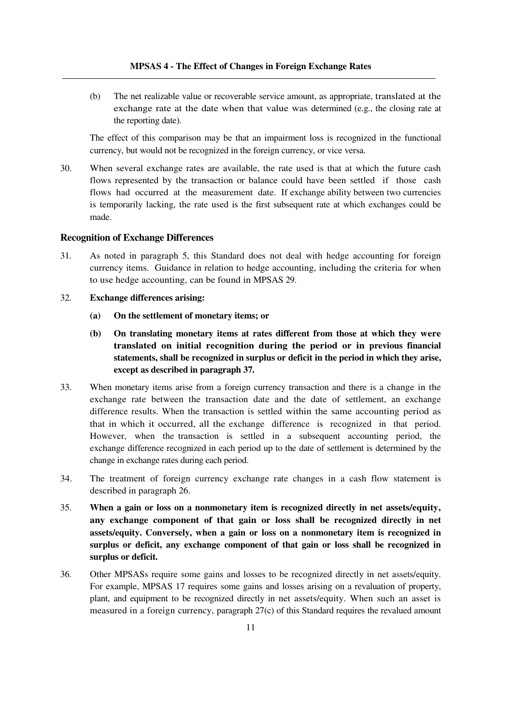(b) The net realizable value or recoverable service amount, as appropriate, translated at the exchange rate at the date when that value was determined (e.g., the closing rate at the reporting date).

 The effect of this comparison may be that an impairment loss is recognized in the functional currency, but would not be recognized in the foreign currency, or vice versa.

30. When several exchange rates are available, the rate used is that at which the future cash flows represented by the transaction or balance could have been settled if those cash flows had occurred at the measurement date. If exchange ability between two currencies is temporarily lacking, the rate used is the first subsequent rate at which exchanges could be made.

#### **Recognition of Exchange Differences**

- 31. As noted in paragraph 5, this Standard does not deal with hedge accounting for foreign currency items. Guidance in relation to hedge accounting, including the criteria for when to use hedge accounting, can be found in MPSAS 29.
- 32. **Exchange differences arising:** 
	- **(a) On the settlement of monetary items; or**
	- **(b) On translating monetary items at rates different from those at which they were translated on initial recognition during the period or in previous financial statements, shall be recognized in surplus or deficit in the period in which they arise, except as described in paragraph 37.**
- 33. When monetary items arise from a foreign currency transaction and there is a change in the exchange rate between the transaction date and the date of settlement, an exchange difference results. When the transaction is settled within the same accounting period as that in which it occurred, all the exchange difference is recognized in that period. However, when the transaction is settled in a subsequent accounting period, the exchange difference recognized in each period up to the date of settlement is determined by the change in exchange rates during each period.
- 34. The treatment of foreign currency exchange rate changes in a cash flow statement is described in paragraph 26.
- 35. **When a gain or loss on a nonmonetary item is recognized directly in net assets/equity, any exchange component of that gain or loss shall be recognized directly in net assets/equity. Conversely, when a gain or loss on a nonmonetary item is recognized in surplus or deficit, any exchange component of that gain or loss shall be recognized in surplus or deficit.**
- 36. Other MPSASs require some gains and losses to be recognized directly in net assets/equity. For example, MPSAS 17 requires some gains and losses arising on a revaluation of property, plant, and equipment to be recognized directly in net assets/equity. When such an asset is measured in a foreign currency, paragraph 27(c) of this Standard requires the revalued amount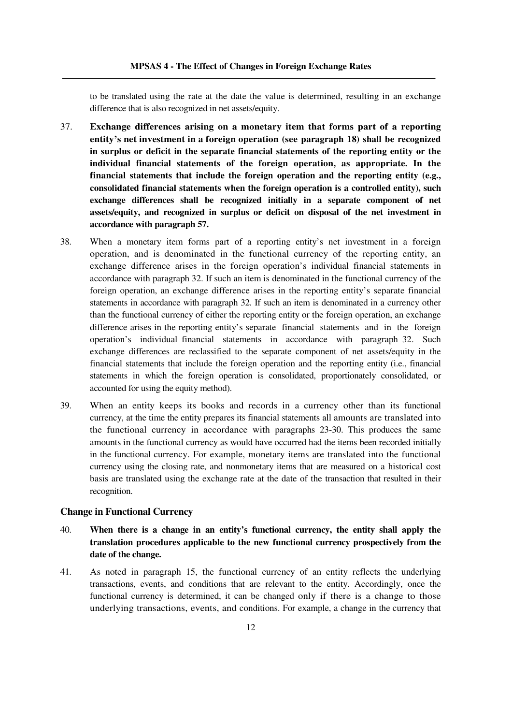to be translated using the rate at the date the value is determined, resulting in an exchange difference that is also recognized in net assets/equity.

- 37. **Exchange differences arising on a monetary item that forms part of a reporting entity's net investment in a foreign operation (see paragraph 18) shall be recognized in surplus or deficit in the separate financial statements of the reporting entity or the individual financial statements of the foreign operation, as appropriate. In the financial statements that include the foreign operation and the reporting entity (e.g., consolidated financial statements when the foreign operation is a controlled entity), such exchange differences shall be recognized initially in a separate component of net assets/equity, and recognized in surplus or deficit on disposal of the net investment in accordance with paragraph 57.**
- 38. When a monetary item forms part of a reporting entity's net investment in a foreign operation, and is denominated in the functional currency of the reporting entity, an exchange difference arises in the foreign operation's individual financial statements in accordance with paragraph 32. If such an item is denominated in the functional currency of the foreign operation, an exchange difference arises in the reporting entity's separate financial statements in accordance with paragraph 32. If such an item is denominated in a currency other than the functional currency of either the reporting entity or the foreign operation, an exchange difference arises in the reporting entity's separate financial statements and in the foreign operation's individual financial statements in accordance with paragraph 32. Such exchange differences are reclassified to the separate component of net assets/equity in the financial statements that include the foreign operation and the reporting entity (i.e., financial statements in which the foreign operation is consolidated, proportionately consolidated, or accounted for using the equity method).
- 39. When an entity keeps its books and records in a currency other than its functional currency, at the time the entity prepares its financial statements all amounts are translated into the functional currency in accordance with paragraphs 23-30. This produces the same amounts in the functional currency as would have occurred had the items been recorded initially in the functional currency. For example, monetary items are translated into the functional currency using the closing rate, and nonmonetary items that are measured on a historical cost basis are translated using the exchange rate at the date of the transaction that resulted in their recognition.

#### **Change in Functional Currency**

- 40. **When there is a change in an entity's functional currency, the entity shall apply the translation procedures applicable to the new functional currency prospectively from the date of the change.**
- 41. As noted in paragraph 15, the functional currency of an entity reflects the underlying transactions, events, and conditions that are relevant to the entity. Accordingly, once the functional currency is determined, it can be changed only if there is a change to those underlying transactions, events, and conditions. For example, a change in the currency that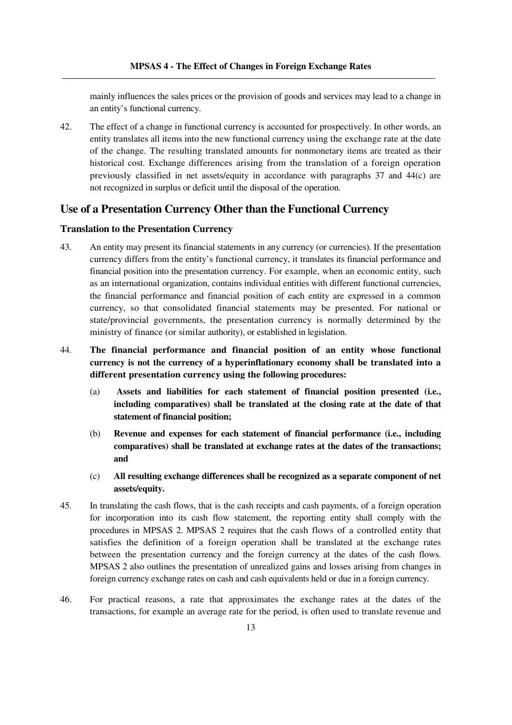mainly influences the sales prices or the provision of goods and services may lead to a change in an entity's functional currency.

42. The effect of a change in functional currency is accounted for prospectively. In other words, an entity translates all items into the new functional currency using the exchange rate at the date of the change. The resulting translated amounts for nonmonetary items are treated as their historical cost. Exchange differences arising from the translation of a foreign operation previously classified in net assets/equity in accordance with paragraphs 37 and 44(c) are not recognized in surplus or deficit until the disposal of the operation.

## **Use of a Presentation Currency Other than the Functional Currency**

#### **Translation to the Presentation Currency**

- 43. An entity may present its financial statements in any currency (or currencies). If the presentation currency differs from the entity's functional currency, it translates its financial performance and financial position into the presentation currency. For example, when an economic entity, such as an international organization, contains individual entities with different functional currencies, the financial performance and financial position of each entity are expressed in a common currency, so that consolidated financial statements may be presented. For national or state/provincial governments, the presentation currency is normally determined by the ministry of finance (or similar authority), or established in legislation.
- 44. **The financial performance and financial position of an entity whose functional currency is not the currency of a hyperinflationary economy shall be translated into a different presentation currency using the following procedures:** 
	- (a) **Assets and liabilities for each statement of financial position presented (i.e., including comparatives) shall be translated at the closing rate at the date of that statement of financial position;**
	- (b) **Revenue and expenses for each statement of financial performance (i.e., including comparatives) shall be translated at exchange rates at the dates of the transactions; and**
	- (c) **All resulting exchange differences shall be recognized as a separate component of net assets/equity.**
- 45. In translating the cash flows, that is the cash receipts and cash payments, of a foreign operation for incorporation into its cash flow statement, the reporting entity shall comply with the procedures in MPSAS 2. MPSAS 2 requires that the cash flows of a controlled entity that satisfies the definition of a foreign operation shall be translated at the exchange rates between the presentation currency and the foreign currency at the dates of the cash flows. MPSAS 2 also outlines the presentation of unrealized gains and losses arising from changes in foreign currency exchange rates on cash and cash equivalents held or due in a foreign currency.
- 46. For practical reasons, a rate that approximates the exchange rates at the dates of the transactions, for example an average rate for the period, is often used to translate revenue and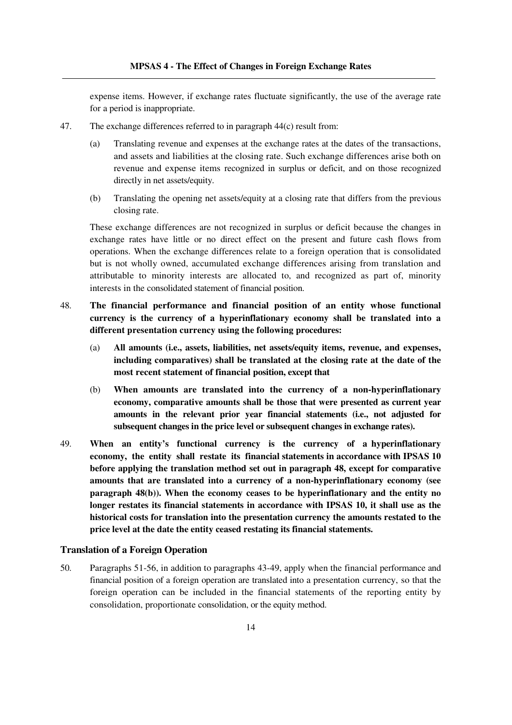expense items. However, if exchange rates fluctuate significantly, the use of the average rate for a period is inappropriate.

- 47. The exchange differences referred to in paragraph 44(c) result from:
	- (a) Translating revenue and expenses at the exchange rates at the dates of the transactions, and assets and liabilities at the closing rate. Such exchange differences arise both on revenue and expense items recognized in surplus or deficit, and on those recognized directly in net assets/equity.
	- (b) Translating the opening net assets/equity at a closing rate that differs from the previous closing rate.

 These exchange differences are not recognized in surplus or deficit because the changes in exchange rates have little or no direct effect on the present and future cash flows from operations. When the exchange differences relate to a foreign operation that is consolidated but is not wholly owned, accumulated exchange differences arising from translation and attributable to minority interests are allocated to, and recognized as part of, minority interests in the consolidated statement of financial position.

- 48. **The financial performance and financial position of an entity whose functional currency is the currency of a hyperinflationary economy shall be translated into a different presentation currency using the following procedures:** 
	- (a) **All amounts (i.e., assets, liabilities, net assets/equity items, revenue, and expenses, including comparatives) shall be translated at the closing rate at the date of the most recent statement of financial position, except that**
	- (b) **When amounts are translated into the currency of a non-hyperinflationary economy, comparative amounts shall be those that were presented as current year amounts in the relevant prior year financial statements (i.e., not adjusted for subsequent changes in the price level or subsequent changes in exchange rates).**
- 49. **When an entity's functional currency is the currency of a hyperinflationary economy, the entity shall restate its financial statements in accordance with IPSAS 10 before applying the translation method set out in paragraph 48, except for comparative amounts that are translated into a currency of a non-hyperinflationary economy (see paragraph 48(b)). When the economy ceases to be hyperinflationary and the entity no longer restates its financial statements in accordance with IPSAS 10, it shall use as the historical costs for translation into the presentation currency the amounts restated to the price level at the date the entity ceased restating its financial statements.**

#### **Translation of a Foreign Operation**

50. Paragraphs 51-56, in addition to paragraphs 43-49, apply when the financial performance and financial position of a foreign operation are translated into a presentation currency, so that the foreign operation can be included in the financial statements of the reporting entity by consolidation, proportionate consolidation, or the equity method.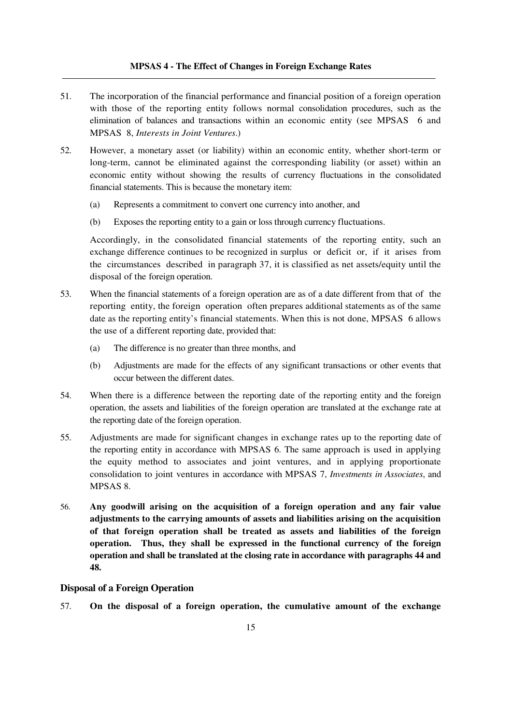#### **MPSAS 4 - The Effect of Changes in Foreign Exchange Rates**

- 51. The incorporation of the financial performance and financial position of a foreign operation with those of the reporting entity follows normal consolidation procedures, such as the elimination of balances and transactions within an economic entity (see MPSAS 6 and MPSAS 8, *Interests in Joint Ventures*.)
- 52. However, a monetary asset (or liability) within an economic entity, whether short-term or long-term, cannot be eliminated against the corresponding liability (or asset) within an economic entity without showing the results of currency fluctuations in the consolidated financial statements. This is because the monetary item:
	- (a) Represents a commitment to convert one currency into another, and
	- (b) Exposes the reporting entity to a gain or loss through currency fluctuations.

 Accordingly, in the consolidated financial statements of the reporting entity, such an exchange difference continues to be recognized in surplus or deficit or, if it arises from the circumstances described in paragraph 37, it is classified as net assets/equity until the disposal of the foreign operation.

- 53. When the financial statements of a foreign operation are as of a date different from that of the reporting entity, the foreign operation often prepares additional statements as of the same date as the reporting entity's financial statements. When this is not done, MPSAS 6 allows the use of a different reporting date, provided that:
	- (a) The difference is no greater than three months, and
	- (b) Adjustments are made for the effects of any significant transactions or other events that occur between the different dates.
- 54. When there is a difference between the reporting date of the reporting entity and the foreign operation, the assets and liabilities of the foreign operation are translated at the exchange rate at the reporting date of the foreign operation.
- 55. Adjustments are made for significant changes in exchange rates up to the reporting date of the reporting entity in accordance with MPSAS 6. The same approach is used in applying the equity method to associates and joint ventures, and in applying proportionate consolidation to joint ventures in accordance with MPSAS 7, *Investments in Associates*, and MPSAS 8.
- 56. **Any goodwill arising on the acquisition of a foreign operation and any fair value adjustments to the carrying amounts of assets and liabilities arising on the acquisition of that foreign operation shall be treated as assets and liabilities of the foreign operation. Thus, they shall be expressed in the functional currency of the foreign operation and shall be translated at the closing rate in accordance with paragraphs 44 and 48.**

#### **Disposal of a Foreign Operation**

57. **On the disposal of a foreign operation, the cumulative amount of the exchange**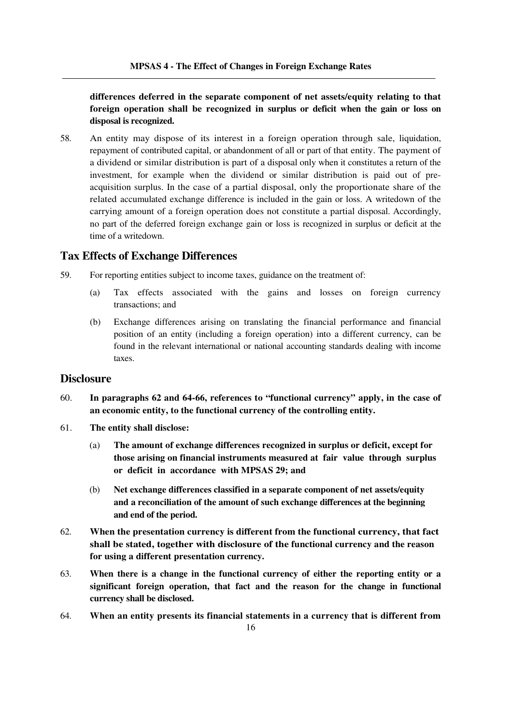## **differences deferred in the separate component of net assets/equity relating to that foreign operation shall be recognized in surplus or deficit when the gain or loss on disposal is recognized.**

58. An entity may dispose of its interest in a foreign operation through sale, liquidation, repayment of contributed capital, or abandonment of all or part of that entity. The payment of a dividend or similar distribution is part of a disposal only when it constitutes a return of the investment, for example when the dividend or similar distribution is paid out of preacquisition surplus. In the case of a partial disposal, only the proportionate share of the related accumulated exchange difference is included in the gain or loss. A writedown of the carrying amount of a foreign operation does not constitute a partial disposal. Accordingly, no part of the deferred foreign exchange gain or loss is recognized in surplus or deficit at the time of a writedown.

## **Tax Effects of Exchange Differences**

- 59. For reporting entities subject to income taxes, guidance on the treatment of:
	- (a) Tax effects associated with the gains and losses on foreign currency transactions; and
	- (b) Exchange differences arising on translating the financial performance and financial position of an entity (including a foreign operation) into a different currency, can be found in the relevant international or national accounting standards dealing with income taxes.

## **Disclosure**

- 60. **In paragraphs 62 and 64-66, references to "functional currency" apply, in the case of an economic entity, to the functional currency of the controlling entity.**
- 61. **The entity shall disclose:** 
	- (a) **The amount of exchange differences recognized in surplus or deficit, except for those arising on financial instruments measured at fair value through surplus or deficit in accordance with MPSAS 29; and**
	- (b) **Net exchange differences classified in a separate component of net assets/equity and a reconciliation of the amount of such exchange differences at the beginning and end of the period.**
- 62. **When the presentation currency is different from the functional currency, that fact shall be stated, together with disclosure of the functional currency and the reason for using a different presentation currency.**
- 63. **When there is a change in the functional currency of either the reporting entity or a significant foreign operation, that fact and the reason for the change in functional currency shall be disclosed.**
- 64. **When an entity presents its financial statements in a currency that is different from**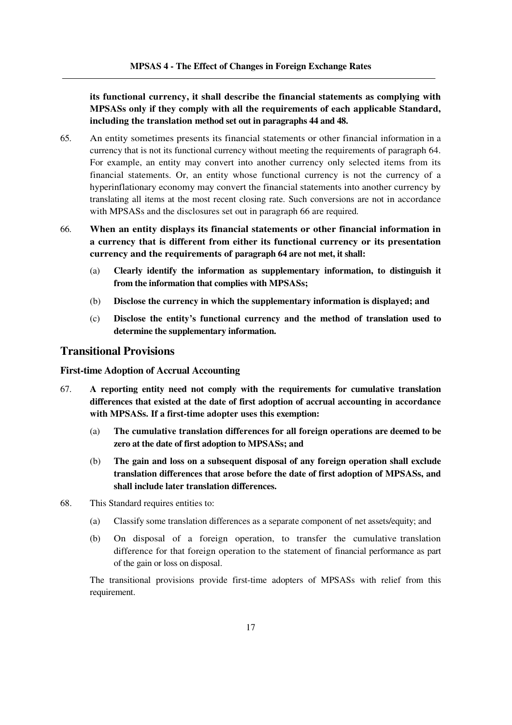**its functional currency, it shall describe the financial statements as complying with MPSASs only if they comply with all the requirements of each applicable Standard, including the translation method set out in paragraphs 44 and 48.** 

- 65. An entity sometimes presents its financial statements or other financial information in a currency that is not its functional currency without meeting the requirements of paragraph 64. For example, an entity may convert into another currency only selected items from its financial statements. Or, an entity whose functional currency is not the currency of a hyperinflationary economy may convert the financial statements into another currency by translating all items at the most recent closing rate. Such conversions are not in accordance with MPSASs and the disclosures set out in paragraph 66 are required.
- 66. **When an entity displays its financial statements or other financial information in a currency that is different from either its functional currency or its presentation currency and the requirements of paragraph 64 are not met, it shall:** 
	- (a) **Clearly identify the information as supplementary information, to distinguish it from the information that complies with MPSASs;**
	- (b) **Disclose the currency in which the supplementary information is displayed; and**
	- (c) **Disclose the entity's functional currency and the method of translation used to determine the supplementary information.**

#### **Transitional Provisions**

#### **First-time Adoption of Accrual Accounting**

- 67. **A reporting entity need not comply with the requirements for cumulative translation differences that existed at the date of first adoption of accrual accounting in accordance with MPSASs. If a first-time adopter uses this exemption:** 
	- (a) **The cumulative translation differences for all foreign operations are deemed to be zero at the date of first adoption to MPSASs; and**
	- (b) **The gain and loss on a subsequent disposal of any foreign operation shall exclude translation differences that arose before the date of first adoption of MPSASs, and shall include later translation differences.**
- 68. This Standard requires entities to:
	- (a) Classify some translation differences as a separate component of net assets/equity; and
	- (b) On disposal of a foreign operation, to transfer the cumulative translation difference for that foreign operation to the statement of financial performance as part of the gain or loss on disposal.

 The transitional provisions provide first-time adopters of MPSASs with relief from this requirement.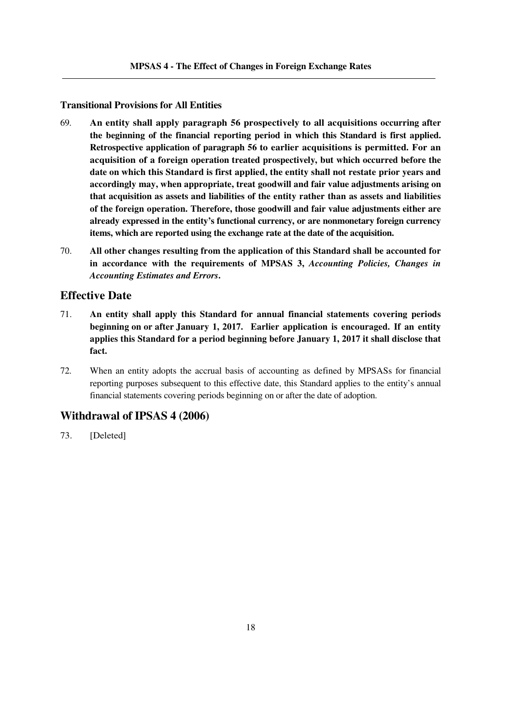#### **Transitional Provisions for All Entities**

- 69. **An entity shall apply paragraph 56 prospectively to all acquisitions occurring after the beginning of the financial reporting period in which this Standard is first applied. Retrospective application of paragraph 56 to earlier acquisitions is permitted. For an acquisition of a foreign operation treated prospectively, but which occurred before the date on which this Standard is first applied, the entity shall not restate prior years and accordingly may, when appropriate, treat goodwill and fair value adjustments arising on that acquisition as assets and liabilities of the entity rather than as assets and liabilities of the foreign operation. Therefore, those goodwill and fair value adjustments either are already expressed in the entity's functional currency, or are nonmonetary foreign currency items, which are reported using the exchange rate at the date of the acquisition.**
- 70. **All other changes resulting from the application of this Standard shall be accounted for in accordance with the requirements of MPSAS 3,** *Accounting Policies, Changes in Accounting Estimates and Errors***.**

#### **Effective Date**

- 71. **An entity shall apply this Standard for annual financial statements covering periods beginning on or after January 1, 2017. Earlier application is encouraged. If an entity applies this Standard for a period beginning before January 1, 2017 it shall disclose that fact.**
- 72. When an entity adopts the accrual basis of accounting as defined by MPSASs for financial reporting purposes subsequent to this effective date, this Standard applies to the entity's annual financial statements covering periods beginning on or after the date of adoption.

## **Withdrawal of IPSAS 4 (2006)**

73. [Deleted]